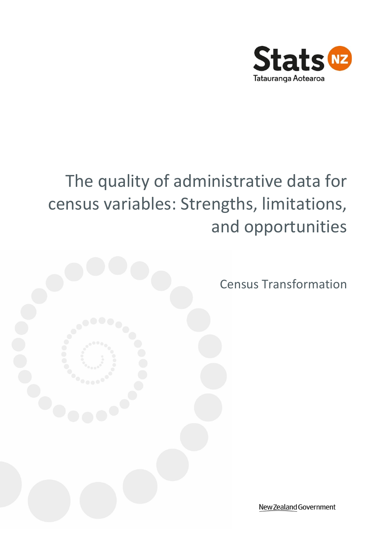

# The quality of administrative data for census variables: Strengths, limitations, and opportunities



Census Transformation

New Zealand Government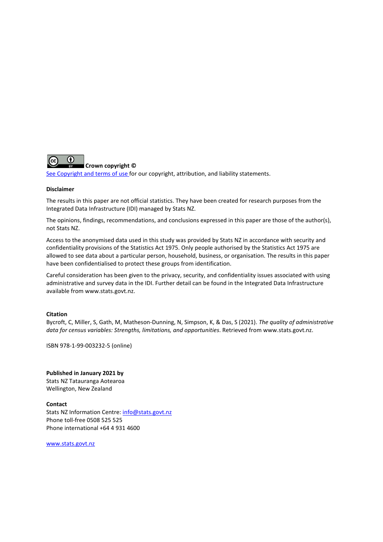

#### **Crown copyright ©**

[See Copyright and terms of use f](http://www.stats.govt.nz/about_us/about-this-site/copyright-terms-of-use.aspx)or our copyright, attribution, and liability statements.

#### **Disclaimer**

The results in this paper are not official statistics. They have been created for research purposes from the Integrated Data Infrastructure (IDI) managed by Stats NZ.

The opinions, findings, recommendations, and conclusions expressed in this paper are those of the author(s), not Stats NZ.

Access to the anonymised data used in this study was provided by Stats NZ in accordance with security and confidentiality provisions of the Statistics Act 1975. Only people authorised by the Statistics Act 1975 are allowed to see data about a particular person, household, business, or organisation. The results in this paper have been confidentialised to protect these groups from identification.

Careful consideration has been given to the privacy, security, and confidentiality issues associated with using administrative and survey data in the IDI. Further detail can be found in the Integrated Data Infrastructure available from www.stats.govt.nz.

#### **Citation**

Bycroft, C, Miller, S, Gath, M, Matheson-Dunning, N, Simpson, K, & Das, S (2021). *The quality of administrative data for census variables: Strengths, limitations, and opportunities*. Retrieved from [www.stats.govt.nz.](http://www.stats.govt.nz/)

ISBN 978-1-99-003232-5 (online)

**Published in January 2021 by** Stats NZ Tatauranga Aotearoa Wellington, New Zealand

**Contact**  Stats NZ Information Centre: [info@stats.govt.nz](mailto:info@stats.govt.nz)  Phone toll-free 0508 525 525 Phone international +64 4 931 4600

[www.stats.govt.nz](http://www.stats.govt.nz/)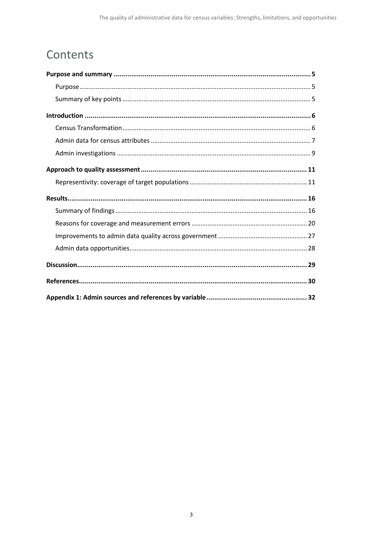## Contents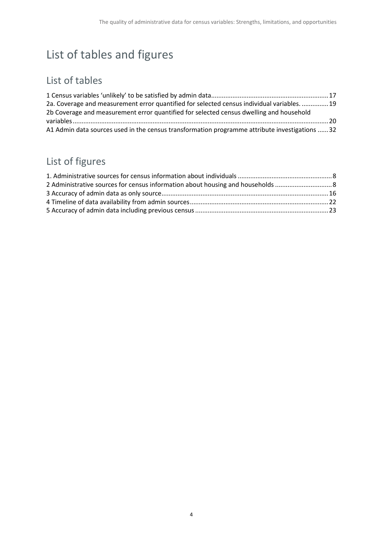## List of tables and figures

## List of tables

| 2a. Coverage and measurement error quantified for selected census individual variables.  19    |  |
|------------------------------------------------------------------------------------------------|--|
| 2b Coverage and measurement error quantified for selected census dwelling and household        |  |
|                                                                                                |  |
| A1 Admin data sources used in the census transformation programme attribute investigations  32 |  |

## List of figures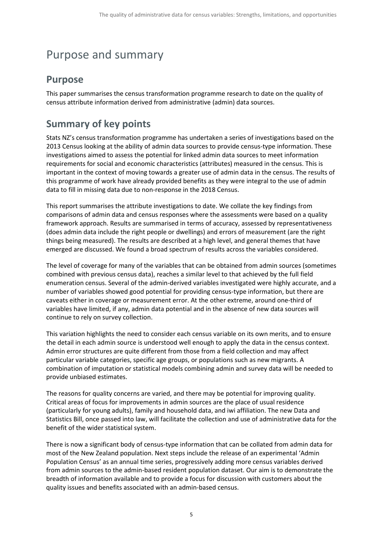## <span id="page-4-0"></span>Purpose and summary

## <span id="page-4-1"></span>**Purpose**

This paper summarises the census transformation programme research to date on the quality of census attribute information derived from administrative (admin) data sources.

## <span id="page-4-2"></span>**Summary of key points**

Stats NZ's census transformation programme has undertaken a series of investigations based on the 2013 Census looking at the ability of admin data sources to provide census-type information. These investigations aimed to assess the potential for linked admin data sources to meet information requirements for social and economic characteristics (attributes) measured in the census. This is important in the context of moving towards a greater use of admin data in the census. The results of this programme of work have already provided benefits as they were integral to the use of admin data to fill in missing data due to non-response in the 2018 Census.

This report summarises the attribute investigations to date. We collate the key findings from comparisons of admin data and census responses where the assessments were based on a quality framework approach. Results are summarised in terms of accuracy, assessed by representativeness (does admin data include the right people or dwellings) and errors of measurement (are the right things being measured). The results are described at a high level, and general themes that have emerged are discussed. We found a broad spectrum of results across the variables considered.

The level of coverage for many of the variables that can be obtained from admin sources (sometimes combined with previous census data), reaches a similar level to that achieved by the full field enumeration census. Several of the admin-derived variables investigated were highly accurate, and a number of variables showed good potential for providing census-type information, but there are caveats either in coverage or measurement error. At the other extreme, around one-third of variables have limited, if any, admin data potential and in the absence of new data sources will continue to rely on survey collection.

This variation highlights the need to consider each census variable on its own merits, and to ensure the detail in each admin source is understood well enough to apply the data in the census context. Admin error structures are quite different from those from a field collection and may affect particular variable categories, specific age groups, or populations such as new migrants. A combination of imputation or statistical models combining admin and survey data will be needed to provide unbiased estimates.

The reasons for quality concerns are varied, and there may be potential for improving quality. Critical areas of focus for improvements in admin sources are the place of usual residence (particularly for young adults), family and household data, and iwi affiliation. The new Data and Statistics Bill, once passed into law, will facilitate the collection and use of administrative data for the benefit of the wider statistical system.

There is now a significant body of census-type information that can be collated from admin data for most of the New Zealand population. Next steps include the release of an experimental 'Admin Population Census' as an annual time series, progressively adding more census variables derived from admin sources to the admin-based resident population dataset. Our aim is to demonstrate the breadth of information available and to provide a focus for discussion with customers about the quality issues and benefits associated with an admin-based census.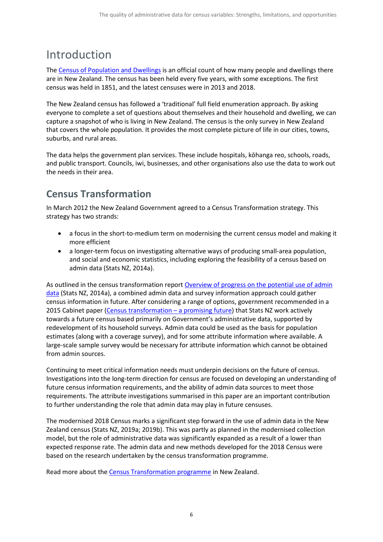## <span id="page-5-0"></span>Introduction

The [Census of Population and Dwellings](https://www.stats.govt.nz/topics/census?url=/Census.aspx) is an official count of how many people and dwellings there are in New Zealand. The census has been held every five years, with some exceptions. The first census was held in 1851, and the latest censuses were in 2013 and 2018.

The New Zealand census has followed a 'traditional' full field enumeration approach. By asking everyone to complete a set of questions about themselves and their household and dwelling, we can capture a snapshot of who is living in New Zealand. The census is the only survey in New Zealand that covers the whole population. It provides the most complete picture of life in our cities, towns, suburbs, and rural areas.

The data helps the government plan services. These include hospitals, kōhanga reo, schools, roads, and public transport. Councils, iwi, businesses, and other organisations also use the data to work out the needs in their area.

## <span id="page-5-1"></span>**Census Transformation**

In March 2012 the New Zealand Government agreed to a Census Transformation strategy. This strategy has two strands:

- a focus in the short-to-medium term on modernising the current census model and making it more efficient
- a longer-term focus on investigating alternative ways of producing small-area population, and social and economic statistics, including exploring the feasibility of a census based on admin data (Stats NZ, 2014a).

As outlined in the census transformation report [Overview of progress on the potential use of admin](https://www.stats.govt.nz/research/an-overview-of-progress-on-the-potential-use-of-administrative-data-for-census-information-in-new-zealand-census-transformation-programme)  [data](https://www.stats.govt.nz/research/an-overview-of-progress-on-the-potential-use-of-administrative-data-for-census-information-in-new-zealand-census-transformation-programme) (Stats NZ, 2014a), a combined admin data and survey information approach could gather census information in future. After considering a range of options, government recommended in a 2015 Cabinet paper [\(Census transformation –](https://www.stats.govt.nz/research/census-transformation-a-promising-future) a promising future) that Stats NZ work actively towards a future census based primarily on Government's administrative data, supported by redevelopment of its household surveys. Admin data could be used as the basis for population estimates (along with a coverage survey), and for some attribute information where available. A large-scale sample survey would be necessary for attribute information which cannot be obtained from admin sources.

Continuing to meet critical information needs must underpin decisions on the future of census. Investigations into the long-term direction for census are focused on developing an understanding of future census information requirements, and the ability of admin data sources to meet those requirements. The attribute investigations summarised in this paper are an important contribution to further understanding the role that admin data may play in future censuses.

The modernised 2018 Census marks a significant step forward in the use of admin data in the New Zealand census (Stats NZ, 2019a; 2019b). This was partly as planned in the modernised collection model, but the role of administrative data was significantly expanded as a result of a lower than expected response rate. The admin data and new methods developed for the 2018 Census were based on the research undertaken by the census transformation programme.

Read more about the [Census Transformation programme](https://www.stats.govt.nz/methods-and-standards/the-census-transformation-programme/) in New Zealand.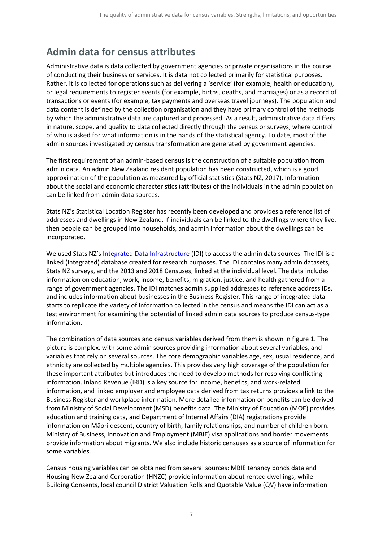## <span id="page-6-0"></span>**Admin data for census attributes**

Administrative data is data collected by government agencies or private organisations in the course of conducting their business or services. It is data not collected primarily for statistical purposes. Rather, it is collected for operations such as delivering a 'service' (for example, health or education), or legal requirements to register events (for example, births, deaths, and marriages) or as a record of transactions or events (for example, tax payments and overseas travel journeys). The population and data content is defined by the collection organisation and they have primary control of the methods by which the administrative data are captured and processed. As a result, administrative data differs in nature, scope, and quality to data collected directly through the census or surveys, where control of who is asked for what information is in the hands of the statistical agency. To date, most of the admin sources investigated by census transformation are generated by government agencies.

The first requirement of an admin-based census is the construction of a suitable population from admin data. An admin New Zealand resident population has been constructed, which is a good approximation of the population as measured by official statistics (Stats NZ, 2017). Information about the social and economic characteristics (attributes) of the individuals in the admin population can be linked from admin data sources.

Stats NZ's Statistical Location Register has recently been developed and provides a reference list of addresses and dwellings in New Zealand. If individuals can be linked to the dwellings where they live, then people can be grouped into households, and admin information about the dwellings can be incorporated.

We used Stats NZ's [Integrated Data Infrastructure](https://www.stats.govt.nz/integrated-data/integrated-data-infrastructure#data-in-idi) (IDI) to access the admin data sources. The IDI is a linked (integrated) database created for research purposes. The IDI contains many admin datasets, Stats NZ surveys, and the 2013 and 2018 Censuses, linked at the individual level. The data includes information on education, work, income, benefits, migration, justice, and health gathered from a range of government agencies. The IDI matches admin supplied addresses to reference address IDs, and includes information about businesses in the Business Register. This range of integrated data starts to replicate the variety of information collected in the census and means the IDI can act as a test environment for examining the potential of linked admin data sources to produce census-type information.

The combination of data sources and census variables derived from them is shown in figure 1. The picture is complex, with some admin sources providing information about several variables, and variables that rely on several sources. The core demographic variables age, sex, usual residence, and ethnicity are collected by multiple agencies. This provides very high coverage of the population for these important attributes but introduces the need to develop methods for resolving conflicting information. Inland Revenue (IRD) is a key source for income, benefits, and work-related information, and linked employer and employee data derived from tax returns provides a link to the Business Register and workplace information. More detailed information on benefits can be derived from Ministry of Social Development (MSD) benefits data. The Ministry of Education (MOE) provides education and training data, and Department of Internal Affairs (DIA) registrations provide information on Māori descent, country of birth, family relationships, and number of children born. Ministry of Business, Innovation and Employment (MBIE) visa applications and border movements provide information about migrants. We also include historic censuses as a source of information for some variables.

Census housing variables can be obtained from several sources: MBIE tenancy bonds data and Housing New Zealand Corporation (HNZC) provide information about rented dwellings, while Building Consents, local council District Valuation Rolls and Quotable Value (QV) have information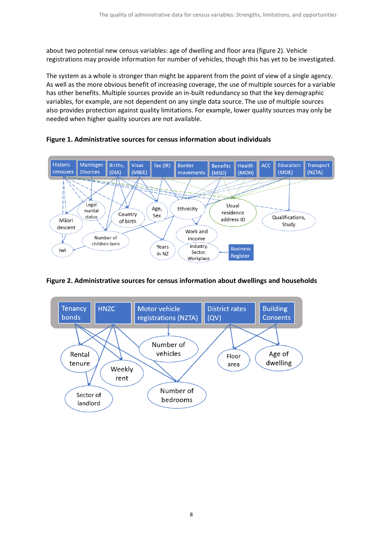about two potential new census variables: age of dwelling and floor area (figure 2). Vehicle registrations may provide information for number of vehicles, though this has yet to be investigated.

The system as a whole is stronger than might be apparent from the point of view of a single agency. As well as the more obvious benefit of increasing coverage, the use of multiple sources for a variable has other benefits. Multiple sources provide an in-built redundancy so that the key demographic variables, for example, are not dependent on any single data source. The use of multiple sources also provides protection against quality limitations. For example, lower quality sources may only be needed when higher quality sources are not available.



<span id="page-7-0"></span>**Figure 1. Administrative sources for census information about individuals**

#### <span id="page-7-1"></span>**Figure 2. Administrative sources for census information about dwellings and households**

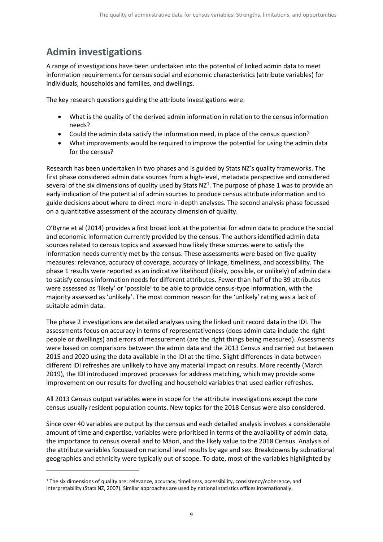## <span id="page-8-0"></span>**Admin investigations**

A range of investigations have been undertaken into the potential of linked admin data to meet information requirements for census social and economic characteristics (attribute variables) for individuals, households and families, and dwellings.

The key research questions guiding the attribute investigations were:

- What is the quality of the derived admin information in relation to the census information needs?
- Could the admin data satisfy the information need, in place of the census question?
- What improvements would be required to improve the potential for using the admin data for the census?

Research has been undertaken in two phases and is guided by Stats NZ's quality frameworks. The first phase considered admin data sources from a high-level, metadata perspective and considered several of the six dimensions of quality used by Stats NZ<sup>[1](#page-8-1)</sup>. The purpose of phase 1 was to provide an early indication of the potential of admin sources to produce census attribute information and to guide decisions about where to direct more in-depth analyses. The second analysis phase focussed on a quantitative assessment of the accuracy dimension of quality.

O'Byrne et al (2014) provides a first broad look at the potential for admin data to produce the social and economic information currently provided by the census. The authors identified admin data sources related to census topics and assessed how likely these sources were to satisfy the information needs currently met by the census. These assessments were based on five quality measures: relevance, accuracy of coverage, accuracy of linkage, timeliness, and accessibility. The phase 1 results were reported as an indicative likelihood (likely, possible, or unlikely) of admin data to satisfy census information needs for different attributes. Fewer than half of the 39 attributes were assessed as 'likely' or 'possible' to be able to provide census-type information, with the majority assessed as 'unlikely'. The most common reason for the 'unlikely' rating was a lack of suitable admin data.

The phase 2 investigations are detailed analyses using the linked unit record data in the IDI. The assessments focus on accuracy in terms of representativeness (does admin data include the right people or dwellings) and errors of measurement (are the right things being measured). Assessments were based on comparisons between the admin data and the 2013 Census and carried out between 2015 and 2020 using the data available in the IDI at the time. Slight differences in data between different IDI refreshes are unlikely to have any material impact on results. More recently (March 2019), the IDI introduced improved processes for address matching, which may provide some improvement on our results for dwelling and household variables that used earlier refreshes.

All 2013 Census output variables were in scope for the attribute investigations except the core census usually resident population counts. New topics for the 2018 Census were also considered.

Since over 40 variables are output by the census and each detailed analysis involves a considerable amount of time and expertise, variables were prioritised in terms of the availability of admin data, the importance to census overall and to Māori, and the likely value to the 2018 Census. Analysis of the attribute variables focussed on national level results by age and sex. Breakdowns by subnational geographies and ethnicity were typically out of scope. To date, most of the variables highlighted by

<span id="page-8-1"></span><sup>1</sup> The six dimensions of quality are: relevance, accuracy, timeliness, accessibility, consistency/coherence, and interpretability (Stats NZ, 2007). Similar approaches are used by national statistics offices internationally.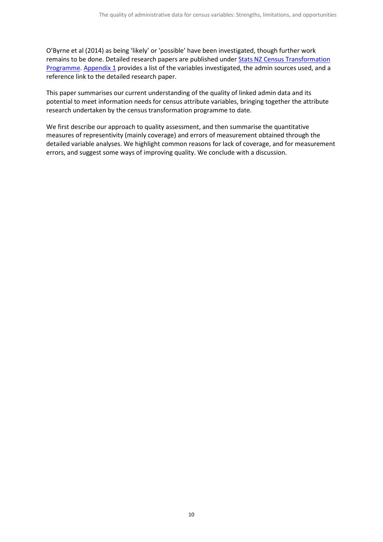O'Byrne et al (2014) as being 'likely' or 'possible' have been investigated, though further work remains to be done. Detailed research papers are published under **Stats NZ Census Transformation** [Programme.](https://www.stats.govt.nz/methods-and-standards/the-census-transformation-programme/) [Appendix 1](#page-31-0) provides a list of the variables investigated, the admin sources used, and a reference link to the detailed research paper.

This paper summarises our current understanding of the quality of linked admin data and its potential to meet information needs for census attribute variables, bringing together the attribute research undertaken by the census transformation programme to date.

We first describe our approach to quality assessment, and then summarise the quantitative measures of representivity (mainly coverage) and errors of measurement obtained through the detailed variable analyses. We highlight common reasons for lack of coverage, and for measurement errors, and suggest some ways of improving quality. We conclude with a discussion.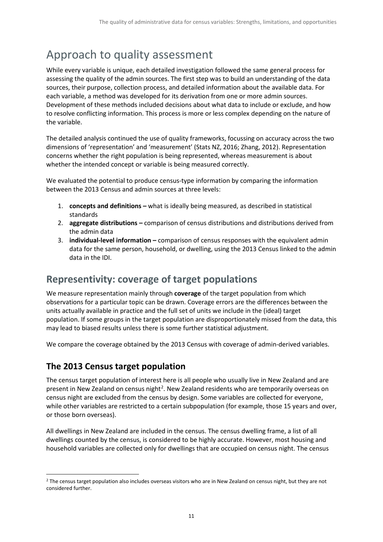## <span id="page-10-0"></span>Approach to quality assessment

While every variable is unique, each detailed investigation followed the same general process for assessing the quality of the admin sources. The first step was to build an understanding of the data sources, their purpose, collection process, and detailed information about the available data. For each variable, a method was developed for its derivation from one or more admin sources. Development of these methods included decisions about what data to include or exclude, and how to resolve conflicting information. This process is more or less complex depending on the nature of the variable.

The detailed analysis continued the use of quality frameworks, focussing on accuracy across the two dimensions of 'representation' and 'measurement' (Stats NZ, 2016; Zhang, 2012). Representation concerns whether the right population is being represented, whereas measurement is about whether the intended concept or variable is being measured correctly.

We evaluated the potential to produce census-type information by comparing the information between the 2013 Census and admin sources at three levels:

- 1. **concepts and definitions –** what is ideally being measured, as described in statistical standards
- 2. **aggregate distributions –** comparison of census distributions and distributions derived from the admin data
- 3. **individual-level information –** comparison of census responses with the equivalent admin data for the same person, household, or dwelling, using the 2013 Census linked to the admin data in the IDI.

## <span id="page-10-1"></span>**Representivity: coverage of target populations**

We measure representation mainly through **coverage** of the target population from which observations for a particular topic can be drawn. Coverage errors are the differences between the units actually available in practice and the full set of units we include in the (ideal) target population. If some groups in the target population are disproportionately missed from the data, this may lead to biased results unless there is some further statistical adjustment.

We compare the coverage obtained by the 2013 Census with coverage of admin-derived variables.

### **The 2013 Census target population**

The census target population of interest here is all people who usually live in New Zealand and are present in New Zealand on census night<sup>[2](#page-10-2)</sup>. New Zealand residents who are temporarily overseas on census night are excluded from the census by design. Some variables are collected for everyone, while other variables are restricted to a certain subpopulation (for example, those 15 years and over, or those born overseas).

All dwellings in New Zealand are included in the census. The census dwelling frame, a list of all dwellings counted by the census, is considered to be highly accurate. However, most housing and household variables are collected only for dwellings that are occupied on census night. The census

<span id="page-10-2"></span><sup>&</sup>lt;sup>2</sup> The census target population also includes overseas visitors who are in New Zealand on census night, but they are not considered further.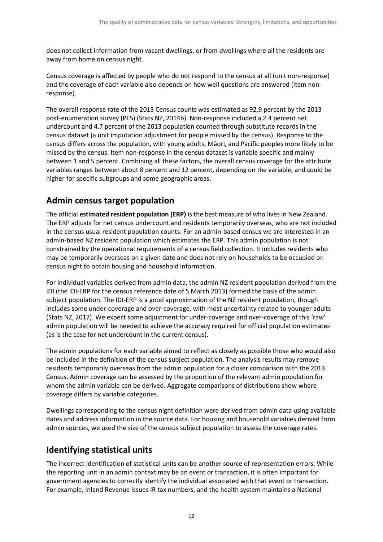does not collect information from vacant dwellings, or from dwellings where all the residents are away from home on census night.

Census coverage is affected by people who do not respond to the census at all (unit non-response) and the coverage of each variable also depends on how well questions are answered (item nonresponse).

The overall response rate of the 2013 Census counts was estimated as 92.9 percent by the 2013 post-enumeration survey (PES) (Stats NZ, 2014b). Non-response included a 2.4 percent net undercount and 4.7 percent of the 2013 population counted through substitute records in the census dataset (a unit imputation adjustment for people missed by the census). Response to the census differs across the population, with young adults, Māori, and Pacific peoples more likely to be missed by the census. Item non-response in the census dataset is variable specific and mainly between 1 and 5 percent. Combining all these factors, the overall census coverage for the attribute variables ranges between about 8 percent and 12 percent, depending on the variable, and could be higher for specific subgroups and some geographic areas.

### **Admin census target population**

The official **estimated resident population (ERP)** is the best measure of who lives in New Zealand. The ERP adjusts for net census undercount and residents temporarily overseas, who are not included in the census usual resident population counts. For an admin-based census we are interested in an admin-based NZ resident population which estimates the ERP. This admin population is not constrained by the operational requirements of a census field collection. It includes residents who may be temporarily overseas on a given date and does not rely on households to be occupied on census night to obtain housing and household information.

For individual variables derived from admin data, the admin NZ resident population derived from the IDI (the IDI-ERP for the census reference date of 5 March 2013) formed the basis of the admin subject population. The IDI-ERP is a good approximation of the NZ resident population, though includes some under-coverage and over-coverage, with most uncertainty related to younger adults (Stats NZ, 2017). We expect some adjustment for under-coverage and over-coverage of this 'raw' admin population will be needed to achieve the accuracy required for official population estimates (as is the case for net undercount in the current census).

The admin populations for each variable aimed to reflect as closely as possible those who would also be included in the definition of the census subject population. The analysis results may remove residents temporarily overseas from the admin population for a closer comparison with the 2013 Census. Admin coverage can be assessed by the proportion of the relevant admin population for whom the admin variable can be derived. Aggregate comparisons of distributions show where coverage differs by variable categories.

Dwellings corresponding to the census night definition were derived from admin data using available dates and address information in the source data. For housing and household variables derived from admin sources, we used the size of the census subject population to assess the coverage rates.

### **Identifying statistical units**

The incorrect identification of statistical units can be another source of representation errors. While the reporting unit in an admin context may be an event or transaction, it is often important for government agencies to correctly identify the individual associated with that event or transaction. For example, Inland Revenue issues IR tax numbers, and the health system maintains a National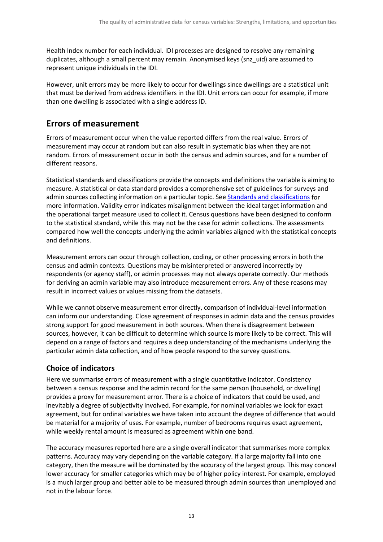Health Index number for each individual. IDI processes are designed to resolve any remaining duplicates, although a small percent may remain. Anonymised keys (snz\_uid) are assumed to represent unique individuals in the IDI.

However, unit errors may be more likely to occur for dwellings since dwellings are a statistical unit that must be derived from address identifiers in the IDI. Unit errors can occur for example, if more than one dwelling is associated with a single address ID.

### **Errors of measurement**

Errors of measurement occur when the value reported differs from the real value. Errors of measurement may occur at random but can also result in systematic bias when they are not random. Errors of measurement occur in both the census and admin sources, and for a number of different reasons.

Statistical standards and classifications provide the concepts and definitions the variable is aiming to measure. A statistical or data standard provides a comprehensive set of guidelines for surveys and admin sources collecting information on a particular topic. See [Standards and classifications](https://www.stats.govt.nz/methods-and-standards/standards-and-classifications/) for more information. Validity error indicates misalignment between the ideal target information and the operational target measure used to collect it. Census questions have been designed to conform to the statistical standard, while this may not be the case for admin collections. The assessments compared how well the concepts underlying the admin variables aligned with the statistical concepts and definitions.

Measurement errors can occur through collection, coding, or other processing errors in both the census and admin contexts. Questions may be misinterpreted or answered incorrectly by respondents (or agency staff), or admin processes may not always operate correctly. Our methods for deriving an admin variable may also introduce measurement errors. Any of these reasons may result in incorrect values or values missing from the datasets.

While we cannot observe measurement error directly, comparison of individual-level information can inform our understanding. Close agreement of responses in admin data and the census provides strong support for good measurement in both sources. When there is disagreement between sources, however, it can be difficult to determine which source is more likely to be correct. This will depend on a range of factors and requires a deep understanding of the mechanisms underlying the particular admin data collection, and of how people respond to the survey questions.

#### **Choice of indicators**

Here we summarise errors of measurement with a single quantitative indicator. Consistency between a census response and the admin record for the same person (household, or dwelling) provides a proxy for measurement error. There is a choice of indicators that could be used, and inevitably a degree of subjectivity involved. For example, for nominal variables we look for exact agreement, but for ordinal variables we have taken into account the degree of difference that would be material for a majority of uses. For example, number of bedrooms requires exact agreement, while weekly rental amount is measured as agreement within one band.

The accuracy measures reported here are a single overall indicator that summarises more complex patterns. Accuracy may vary depending on the variable category. If a large majority fall into one category, then the measure will be dominated by the accuracy of the largest group. This may conceal lower accuracy for smaller categories which may be of higher policy interest. For example, employed is a much larger group and better able to be measured through admin sources than unemployed and not in the labour force.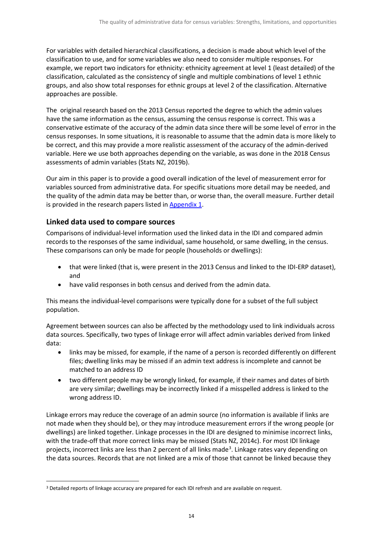For variables with detailed hierarchical classifications, a decision is made about which level of the classification to use, and for some variables we also need to consider multiple responses. For example, we report two indicators for ethnicity: ethnicity agreement at level 1 (least detailed) of the classification, calculated as the consistency of single and multiple combinations of level 1 ethnic groups, and also show total responses for ethnic groups at level 2 of the classification. Alternative approaches are possible.

The original research based on the 2013 Census reported the degree to which the admin values have the same information as the census, assuming the census response is correct. This was a conservative estimate of the accuracy of the admin data since there will be some level of error in the census responses. In some situations, it is reasonable to assume that the admin data is more likely to be correct, and this may provide a more realistic assessment of the accuracy of the admin-derived variable. Here we use both approaches depending on the variable, as was done in the 2018 Census assessments of admin variables (Stats NZ, 2019b).

Our aim in this paper is to provide a good overall indication of the level of measurement error for variables sourced from administrative data. For specific situations more detail may be needed, and the quality of the admin data may be better than, or worse than, the overall measure. Further detail is provided in the research papers listed i[n Appendix 1.](#page-31-0)

#### **Linked data used to compare sources**

Comparisons of individual-level information used the linked data in the IDI and compared admin records to the responses of the same individual, same household, or same dwelling, in the census. These comparisons can only be made for people (households or dwellings):

- that were linked (that is, were present in the 2013 Census and linked to the IDI-ERP dataset), and
- have valid responses in both census and derived from the admin data.

This means the individual-level comparisons were typically done for a subset of the full subject population.

Agreement between sources can also be affected by the methodology used to link individuals across data sources. Specifically, two types of linkage error will affect admin variables derived from linked data:

- links may be missed, for example, if the name of a person is recorded differently on different files; dwelling links may be missed if an admin text address is incomplete and cannot be matched to an address ID
- two different people may be wrongly linked, for example, if their names and dates of birth are very similar; dwellings may be incorrectly linked if a misspelled address is linked to the wrong address ID.

Linkage errors may reduce the coverage of an admin source (no information is available if links are not made when they should be), or they may introduce measurement errors if the wrong people (or dwellings) are linked together. Linkage processes in the IDI are designed to minimise incorrect links, with the trade-off that more correct links may be missed (Stats NZ, 2014c). For most IDI linkage projects, incorrect links are less than 2 percent of all links made<sup>[3](#page-13-0)</sup>. Linkage rates vary depending on the data sources. Records that are not linked are a mix of those that cannot be linked because they

<span id="page-13-0"></span><sup>&</sup>lt;sup>3</sup> Detailed reports of linkage accuracy are prepared for each IDI refresh and are available on request.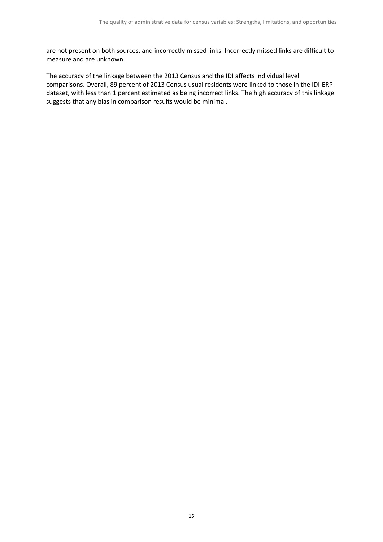are not present on both sources, and incorrectly missed links. Incorrectly missed links are difficult to measure and are unknown.

The accuracy of the linkage between the 2013 Census and the IDI affects individual level comparisons. Overall, 89 percent of 2013 Census usual residents were linked to those in the IDI-ERP dataset, with less than 1 percent estimated as being incorrect links. The high accuracy of this linkage suggests that any bias in comparison results would be minimal.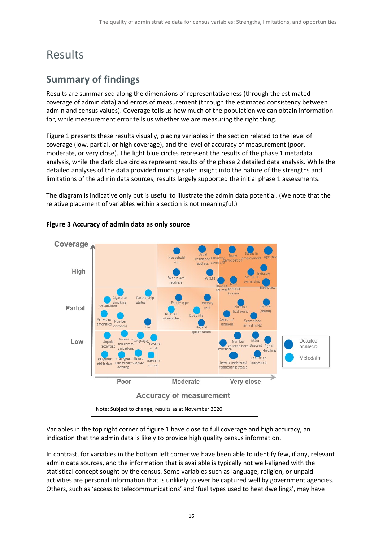## <span id="page-15-0"></span>Results

## <span id="page-15-1"></span>**Summary of findings**

Results are summarised along the dimensions of representativeness (through the estimated coverage of admin data) and errors of measurement (through the estimated consistency between admin and census values). Coverage tells us how much of the population we can obtain information for, while measurement error tells us whether we are measuring the right thing.

Figure 1 presents these results visually, placing variables in the section related to the level of coverage (low, partial, or high coverage), and the level of accuracy of measurement (poor, moderate, or very close). The light blue circles represent the results of the phase 1 metadata analysis, while the dark blue circles represent results of the phase 2 detailed data analysis. While the detailed analyses of the data provided much greater insight into the nature of the strengths and limitations of the admin data sources, results largely supported the initial phase 1 assessments.

The diagram is indicative only but is useful to illustrate the admin data potential. (We note that the relative placement of variables within a section is not meaningful.)



#### <span id="page-15-2"></span>**Figure 3 Accuracy of admin data as only source**

Variables in the top right corner of figure 1 have close to full coverage and high accuracy, an indication that the admin data is likely to provide high quality census information.

In contrast, for variables in the bottom left corner we have been able to identify few, if any, relevant admin data sources, and the information that is available is typically not well-aligned with the statistical concept sought by the census. Some variables such as language, religion, or unpaid activities are personal information that is unlikely to ever be captured well by government agencies. Others, such as 'access to telecommunications' and 'fuel types used to heat dwellings', may have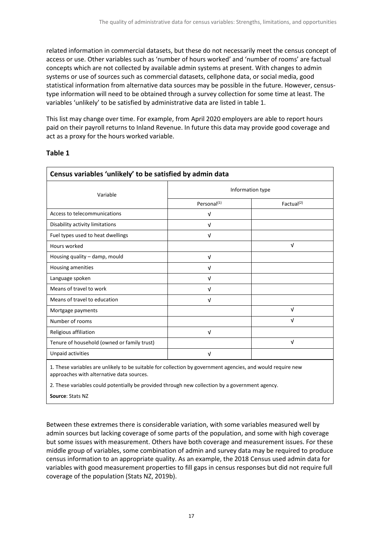related information in commercial datasets, but these do not necessarily meet the census concept of access or use. Other variables such as 'number of hours worked' and 'number of rooms' are factual concepts which are not collected by available admin systems at present. With changes to admin systems or use of sources such as commercial datasets, cellphone data, or social media, good statistical information from alternative data sources may be possible in the future. However, censustype information will need to be obtained through a survey collection for some time at least. The variables 'unlikely' to be satisfied by administrative data are listed in table 1.

This list may change over time. For example, from April 2020 employers are able to report hours paid on their payroll returns to Inland Revenue. In future this data may provide good coverage and act as a proxy for the hours worked variable.

#### <span id="page-16-0"></span>**Table 1**

| Census variables 'unlikely' to be satisfied by admin data |                         |                        |  |
|-----------------------------------------------------------|-------------------------|------------------------|--|
| Variable                                                  | Information type        |                        |  |
|                                                           | Personal <sup>(1)</sup> | Factual <sup>(2)</sup> |  |
| Access to telecommunications                              | ν                       |                        |  |
| Disability activity limitations                           | V                       |                        |  |
| Fuel types used to heat dwellings                         | $\sqrt{ }$              |                        |  |
| Hours worked                                              |                         | $\sqrt{ }$             |  |
| Housing quality - damp, mould                             | V                       |                        |  |
| Housing amenities                                         | V                       |                        |  |
| Language spoken                                           | ν                       |                        |  |
| Means of travel to work                                   | v                       |                        |  |
| Means of travel to education                              | V                       |                        |  |
| Mortgage payments                                         |                         | ν                      |  |
| Number of rooms                                           |                         | ν                      |  |
| Religious affiliation                                     | ν                       |                        |  |
| Tenure of household (owned or family trust)               |                         | ν                      |  |
| Unpaid activities                                         | ν                       |                        |  |

1. These variables are unlikely to be suitable for collection by government agencies, and would require new approaches with alternative data sources.

2. These variables could potentially be provided through new collection by a government agency.

**Source**: Stats NZ

Between these extremes there is considerable variation, with some variables measured well by admin sources but lacking coverage of some parts of the population, and some with high coverage but some issues with measurement. Others have both coverage and measurement issues. For these middle group of variables, some combination of admin and survey data may be required to produce census information to an appropriate quality. As an example, the 2018 Census used admin data for variables with good measurement properties to fill gaps in census responses but did not require full coverage of the population (Stats NZ, 2019b).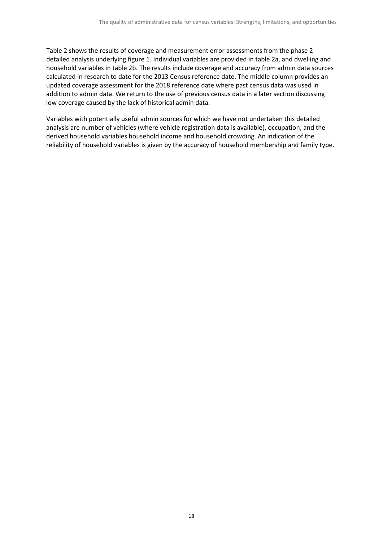Table 2 shows the results of coverage and measurement error assessments from the phase 2 detailed analysis underlying figure 1. Individual variables are provided in table 2a, and dwelling and household variables in table 2b. The results include coverage and accuracy from admin data sources calculated in research to date for the 2013 Census reference date. The middle column provides an updated coverage assessment for the 2018 reference date where past census data was used in addition to admin data. We return to the use of previous census data in a later section discussing low coverage caused by the lack of historical admin data.

Variables with potentially useful admin sources for which we have not undertaken this detailed analysis are number of vehicles (where vehicle registration data is available), occupation, and the derived household variables household income and household crowding. An indication of the reliability of household variables is given by the accuracy of household membership and family type.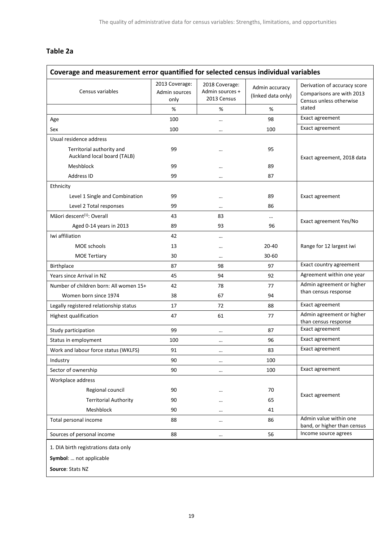#### **Table 2a**

<span id="page-18-0"></span>

| Coverage and measurement error quantified for selected census individual variables |                                         |                                                  |                                      |                                                                                      |  |
|------------------------------------------------------------------------------------|-----------------------------------------|--------------------------------------------------|--------------------------------------|--------------------------------------------------------------------------------------|--|
| Census variables                                                                   | 2013 Coverage:<br>Admin sources<br>only | 2018 Coverage:<br>Admin sources +<br>2013 Census | Admin accuracy<br>(linked data only) | Derivation of accuracy score<br>Comparisons are with 2013<br>Census unless otherwise |  |
|                                                                                    | %                                       | %                                                | %                                    | stated                                                                               |  |
| Age                                                                                | 100                                     |                                                  | 98                                   | Exact agreement                                                                      |  |
| Sex                                                                                | 100                                     | $\cdots$                                         | 100                                  | Exact agreement                                                                      |  |
| Usual residence address                                                            |                                         |                                                  |                                      |                                                                                      |  |
| Territorial authority and<br>Auckland local board (TALB)                           | 99                                      |                                                  | 95                                   | Exact agreement, 2018 data                                                           |  |
| Meshblock                                                                          | 99                                      |                                                  | 89                                   |                                                                                      |  |
| Address ID                                                                         | 99                                      | $\cdots$                                         | 87                                   |                                                                                      |  |
| Ethnicity                                                                          |                                         |                                                  |                                      |                                                                                      |  |
| Level 1 Single and Combination                                                     | 99                                      | $\cdots$                                         | 89                                   | Exact agreement                                                                      |  |
| Level 2 Total responses                                                            | 99                                      | $\cdots$                                         | 86                                   |                                                                                      |  |
| Māori descent <sup>(1)</sup> : Overall                                             | 43                                      | 83                                               |                                      |                                                                                      |  |
| Aged 0-14 years in 2013                                                            | 89                                      | 93                                               | 96                                   | Exact agreement Yes/No                                                               |  |
| Iwi affiliation                                                                    | 42                                      | $\cdots$                                         |                                      |                                                                                      |  |
| <b>MOE</b> schools                                                                 | 13                                      | $\cdots$                                         | $20 - 40$                            | Range for 12 largest iwi                                                             |  |
| <b>MOE Tertiary</b>                                                                | 30                                      | $\cdots$                                         | 30-60                                |                                                                                      |  |
| Birthplace                                                                         | 87                                      | 98                                               | 97                                   | Exact country agreement                                                              |  |
| Years since Arrival in NZ                                                          | 45                                      | 94                                               | 92                                   | Agreement within one year                                                            |  |
| Number of children born: All women 15+                                             | 42                                      | 78                                               | 77                                   | Admin agreement or higher<br>than census response                                    |  |
| Women born since 1974                                                              | 38                                      | 67                                               | 94                                   |                                                                                      |  |
| Legally registered relationship status                                             | 17                                      | 72                                               | 88                                   | Exact agreement                                                                      |  |
| Highest qualification                                                              | 47                                      | 61                                               | 77                                   | Admin agreement or higher<br>than census response                                    |  |
| Study participation                                                                | 99                                      | $\cdots$                                         | 87                                   | Exact agreement                                                                      |  |
| Status in employment                                                               | 100                                     | $\cdots$                                         | 96                                   | Exact agreement                                                                      |  |
| Work and labour force status (WKLFS)                                               | 91                                      | $\cdots$                                         | 83                                   | Exact agreement                                                                      |  |
| Industry                                                                           | 90                                      | $\cdots$                                         | 100                                  |                                                                                      |  |
| Sector of ownership                                                                | 90                                      | $\cdots$                                         | 100                                  | Exact agreement                                                                      |  |
| Workplace address                                                                  |                                         |                                                  |                                      |                                                                                      |  |
| Regional council                                                                   | 90                                      | $\cdots$                                         | 70                                   | Exact agreement                                                                      |  |
| <b>Territorial Authority</b>                                                       | 90                                      | $\cdots$                                         | 65                                   |                                                                                      |  |
| Meshblock                                                                          | 90                                      | $\cdots$                                         | 41                                   |                                                                                      |  |
| Total personal income                                                              | 88                                      | $\cdots$                                         | 86                                   | Admin value within one<br>band, or higher than census                                |  |
| Sources of personal income                                                         | 88                                      | $\cdots$                                         | 56                                   | Income source agrees                                                                 |  |
| 1. DIA birth registrations data only<br>Symbol:  not applicable                    |                                         |                                                  |                                      |                                                                                      |  |
| Source: Stats NZ                                                                   |                                         |                                                  |                                      |                                                                                      |  |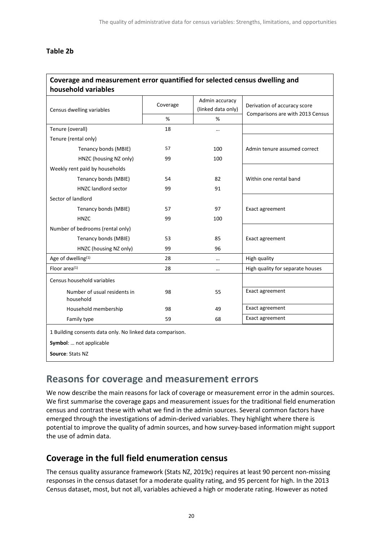#### <span id="page-19-1"></span>**Table 2b**

#### **Coverage and measurement error quantified for selected census dwelling and household variables**

| Census dwelling variables                                 | Coverage | Admin accuracy<br>(linked data only) | Derivation of accuracy score     |  |
|-----------------------------------------------------------|----------|--------------------------------------|----------------------------------|--|
|                                                           | %        | %                                    | Comparisons are with 2013 Census |  |
| Tenure (overall)                                          | 18       | $\cdots$                             |                                  |  |
| Tenure (rental only)                                      |          |                                      |                                  |  |
| Tenancy bonds (MBIE)                                      | 57       | 100                                  | Admin tenure assumed correct     |  |
| HNZC (housing NZ only)                                    | 99       | 100                                  |                                  |  |
| Weekly rent paid by households                            |          |                                      |                                  |  |
| Tenancy bonds (MBIE)                                      | 54       | 82                                   | Within one rental band           |  |
| <b>HNZC</b> landlord sector                               | 99       | 91                                   |                                  |  |
| Sector of landlord                                        |          |                                      |                                  |  |
| Tenancy bonds (MBIE)                                      | 57       | 97                                   | Exact agreement                  |  |
| <b>HNZC</b>                                               | 99       | 100                                  |                                  |  |
| Number of bedrooms (rental only)                          |          |                                      |                                  |  |
| Tenancy bonds (MBIE)                                      | 53       | 85                                   | Exact agreement                  |  |
| HNZC (housing NZ only)                                    | 99       | 96                                   |                                  |  |
| Age of dwelling <sup>(1)</sup>                            | 28       |                                      | High quality                     |  |
| Floor area <sup>(1)</sup>                                 | 28       | $\ddotsc$                            | High quality for separate houses |  |
| Census household variables                                |          |                                      |                                  |  |
| Number of usual residents in<br>household                 | 98       | 55                                   | Exact agreement                  |  |
| Household membership                                      | 98       | 49                                   | Exact agreement                  |  |
| Family type                                               | 59       | 68                                   | Exact agreement                  |  |
| 1 Building consents data only. No linked data comparison. |          |                                      |                                  |  |
| Symbol:  not applicable                                   |          |                                      |                                  |  |
| Source: Stats NZ                                          |          |                                      |                                  |  |

### <span id="page-19-0"></span>**Reasons for coverage and measurement errors**

We now describe the main reasons for lack of coverage or measurement error in the admin sources. We first summarise the coverage gaps and measurement issues for the traditional field enumeration census and contrast these with what we find in the admin sources. Several common factors have emerged through the investigations of admin-derived variables. They highlight where there is potential to improve the quality of admin sources, and how survey-based information might support the use of admin data.

#### **Coverage in the full field enumeration census**

The census quality assurance framework (Stats NZ, 2019c) requires at least 90 percent non-missing responses in the census dataset for a moderate quality rating, and 95 percent for high. In the 2013 Census dataset, most, but not all, variables achieved a high or moderate rating. However as noted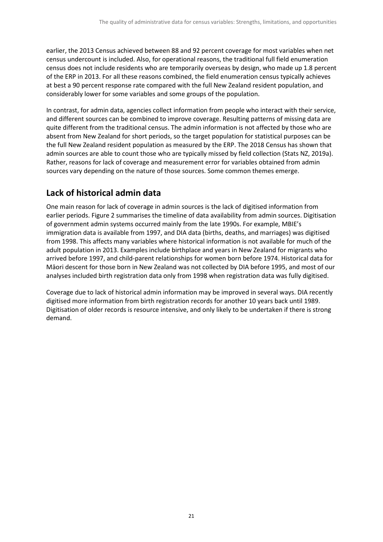earlier, the 2013 Census achieved between 88 and 92 percent coverage for most variables when net census undercount is included. Also, for operational reasons, the traditional full field enumeration census does not include residents who are temporarily overseas by design, who made up 1.8 percent of the ERP in 2013. For all these reasons combined, the field enumeration census typically achieves at best a 90 percent response rate compared with the full New Zealand resident population, and considerably lower for some variables and some groups of the population.

In contrast, for admin data, agencies collect information from people who interact with their service, and different sources can be combined to improve coverage. Resulting patterns of missing data are quite different from the traditional census. The admin information is not affected by those who are absent from New Zealand for short periods, so the target population for statistical purposes can be the full New Zealand resident population as measured by the ERP. The 2018 Census has shown that admin sources are able to count those who are typically missed by field collection (Stats NZ, 2019a). Rather, reasons for lack of coverage and measurement error for variables obtained from admin sources vary depending on the nature of those sources. Some common themes emerge.

### **Lack of historical admin data**

One main reason for lack of coverage in admin sources is the lack of digitised information from earlier periods. Figure 2 summarises the timeline of data availability from admin sources. Digitisation of government admin systems occurred mainly from the late 1990s. For example, MBIE's immigration data is available from 1997, and DIA data (births, deaths, and marriages) was digitised from 1998. This affects many variables where historical information is not available for much of the adult population in 2013. Examples include birthplace and years in New Zealand for migrants who arrived before 1997, and child-parent relationships for women born before 1974. Historical data for Māori descent for those born in New Zealand was not collected by DIA before 1995, and most of our analyses included birth registration data only from 1998 when registration data was fully digitised.

Coverage due to lack of historical admin information may be improved in several ways. DIA recently digitised more information from birth registration records for another 10 years back until 1989. Digitisation of older records is resource intensive, and only likely to be undertaken if there is strong demand.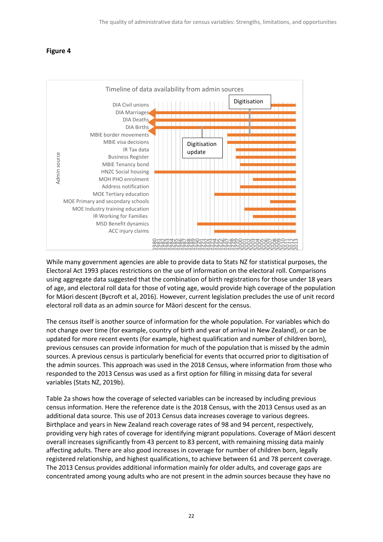#### <span id="page-21-0"></span>**Figure 4**



While many government agencies are able to provide data to Stats NZ for statistical purposes, the Electoral Act 1993 places restrictions on the use of information on the electoral roll. Comparisons using aggregate data suggested that the combination of birth registrations for those under 18 years of age, and electoral roll data for those of voting age, would provide high coverage of the population for Māori descent (Bycroft et al, 2016). However, current legislation precludes the use of unit record electoral roll data as an admin source for Māori descent for the census.

The census itself is another source of information for the whole population. For variables which do not change over time (for example, country of birth and year of arrival in New Zealand), or can be updated for more recent events (for example, highest qualification and number of children born), previous censuses can provide information for much of the population that is missed by the admin sources. A previous census is particularly beneficial for events that occurred prior to digitisation of the admin sources. This approach was used in the 2018 Census, where information from those who responded to the 2013 Census was used as a first option for filling in missing data for several variables (Stats NZ, 2019b).

Table 2a shows how the coverage of selected variables can be increased by including previous census information. Here the reference date is the 2018 Census, with the 2013 Census used as an additional data source. This use of 2013 Census data increases coverage to various degrees. Birthplace and years in New Zealand reach coverage rates of 98 and 94 percent, respectively, providing very high rates of coverage for identifying migrant populations. Coverage of Māori descent overall increases significantly from 43 percent to 83 percent, with remaining missing data mainly affecting adults. There are also good increases in coverage for number of children born, legally registered relationship, and highest qualifications, to achieve between 61 and 78 percent coverage. The 2013 Census provides additional information mainly for older adults, and coverage gaps are While many government agencies are able to provide data to Stats NZ for statistical purposes, the<br>leicotral Act 1993 places restrictions on the use of information on the electoral roll. Comparisons<br>using aggregate data sug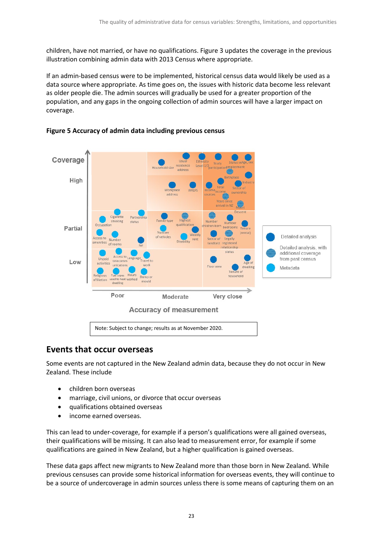children, have not married, or have no qualifications. Figure 3 updates the coverage in the previous illustration combining admin data with 2013 Census where appropriate.

If an admin-based census were to be implemented, historical census data would likely be used as a data source where appropriate. As time goes on, the issues with historic data become less relevant as older people die. The admin sources will gradually be used for a greater proportion of the population, and any gaps in the ongoing collection of admin sources will have a larger impact on coverage.



#### <span id="page-22-0"></span>**Figure 5 Accuracy of admin data including previous census**

#### **Events that occur overseas**

Some events are not captured in the New Zealand admin data, because they do not occur in New Zealand. These include

- children born overseas
- marriage, civil unions, or divorce that occur overseas
- qualifications obtained overseas
- income earned overseas.

This can lead to under-coverage, for example if a person's qualifications were all gained overseas, their qualifications will be missing. It can also lead to measurement error, for example if some qualifications are gained in New Zealand, but a higher qualification is gained overseas.

These data gaps affect new migrants to New Zealand more than those born in New Zealand. While previous censuses can provide some historical information for overseas events, they will continue to be a source of undercoverage in admin sources unless there is some means of capturing them on an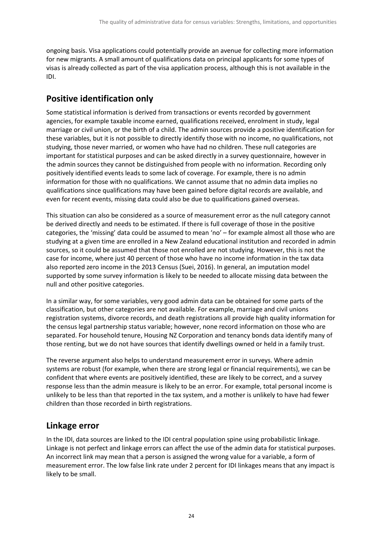ongoing basis. Visa applications could potentially provide an avenue for collecting more information for new migrants. A small amount of qualifications data on principal applicants for some types of visas is already collected as part of the visa application process, although this is not available in the IDI.

### **Positive identification only**

Some statistical information is derived from transactions or events recorded by government agencies, for example taxable income earned, qualifications received, enrolment in study, legal marriage or civil union, or the birth of a child. The admin sources provide a positive identification for these variables, but it is not possible to directly identify those with no income, no qualifications, not studying, those never married, or women who have had no children. These null categories are important for statistical purposes and can be asked directly in a survey questionnaire, however in the admin sources they cannot be distinguished from people with no information. Recording only positively identified events leads to some lack of coverage. For example, there is no admin information for those with no qualifications. We cannot assume that no admin data implies no qualifications since qualifications may have been gained before digital records are available, and even for recent events, missing data could also be due to qualifications gained overseas.

This situation can also be considered as a source of measurement error as the null category cannot be derived directly and needs to be estimated. If there is full coverage of those in the positive categories, the 'missing' data could be assumed to mean 'no' – for example almost all those who are studying at a given time are enrolled in a New Zealand educational institution and recorded in admin sources, so it could be assumed that those not enrolled are not studying. However, this is not the case for income, where just 40 percent of those who have no income information in the tax data also reported zero income in the 2013 Census (Suei, 2016). In general, an imputation model supported by some survey information is likely to be needed to allocate missing data between the null and other positive categories.

In a similar way, for some variables, very good admin data can be obtained for some parts of the classification, but other categories are not available. For example, marriage and civil unions registration systems, divorce records, and death registrations all provide high quality information for the census legal partnership status variable; however, none record information on those who are separated. For household tenure, Housing NZ Corporation and tenancy bonds data identify many of those renting, but we do not have sources that identify dwellings owned or held in a family trust.

The reverse argument also helps to understand measurement error in surveys. Where admin systems are robust (for example, when there are strong legal or financial requirements), we can be confident that where events are positively identified, these are likely to be correct, and a survey response less than the admin measure is likely to be an error. For example, total personal income is unlikely to be less than that reported in the tax system, and a mother is unlikely to have had fewer children than those recorded in birth registrations.

#### **Linkage error**

In the IDI, data sources are linked to the IDI central population spine using probabilistic linkage. Linkage is not perfect and linkage errors can affect the use of the admin data for statistical purposes. An incorrect link may mean that a person is assigned the wrong value for a variable, a form of measurement error. The low false link rate under 2 percent for IDI linkages means that any impact is likely to be small.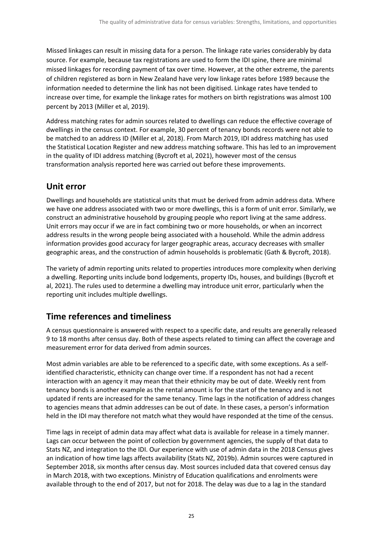Missed linkages can result in missing data for a person. The linkage rate varies considerably by data source. For example, because tax registrations are used to form the IDI spine, there are minimal missed linkages for recording payment of tax over time. However, at the other extreme, the parents of children registered as born in New Zealand have very low linkage rates before 1989 because the information needed to determine the link has not been digitised. Linkage rates have tended to increase over time, for example the linkage rates for mothers on birth registrations was almost 100 percent by 2013 (Miller et al, 2019).

Address matching rates for admin sources related to dwellings can reduce the effective coverage of dwellings in the census context. For example, 30 percent of tenancy bonds records were not able to be matched to an address ID (Miller et al, 2018). From March 2019, IDI address matching has used the Statistical Location Register and new address matching software. This has led to an improvement in the quality of IDI address matching (Bycroft et al, 2021), however most of the census transformation analysis reported here was carried out before these improvements.

### **Unit error**

Dwellings and households are statistical units that must be derived from admin address data. Where we have one address associated with two or more dwellings, this is a form of unit error. Similarly, we construct an administrative household by grouping people who report living at the same address. Unit errors may occur if we are in fact combining two or more households, or when an incorrect address results in the wrong people being associated with a household. While the admin address information provides good accuracy for larger geographic areas, accuracy decreases with smaller geographic areas, and the construction of admin households is problematic (Gath & Bycroft, 2018).

The variety of admin reporting units related to properties introduces more complexity when deriving a dwelling. Reporting units include bond lodgements, property IDs, houses, and buildings (Bycroft et al, 2021). The rules used to determine a dwelling may introduce unit error, particularly when the reporting unit includes multiple dwellings.

### **Time references and timeliness**

A census questionnaire is answered with respect to a specific date, and results are generally released 9 to 18 months after census day. Both of these aspects related to timing can affect the coverage and measurement error for data derived from admin sources.

Most admin variables are able to be referenced to a specific date, with some exceptions. As a selfidentified characteristic, ethnicity can change over time. If a respondent has not had a recent interaction with an agency it may mean that their ethnicity may be out of date. Weekly rent from tenancy bonds is another example as the rental amount is for the start of the tenancy and is not updated if rents are increased for the same tenancy. Time lags in the notification of address changes to agencies means that admin addresses can be out of date. In these cases, a person's information held in the IDI may therefore not match what they would have responded at the time of the census.

Time lags in receipt of admin data may affect what data is available for release in a timely manner. Lags can occur between the point of collection by government agencies, the supply of that data to Stats NZ, and integration to the IDI. Our experience with use of admin data in the 2018 Census gives an indication of how time lags affects availability (Stats NZ, 2019b). Admin sources were captured in September 2018, six months after census day. Most sources included data that covered census day in March 2018, with two exceptions. Ministry of Education qualifications and enrolments were available through to the end of 2017, but not for 2018. The delay was due to a lag in the standard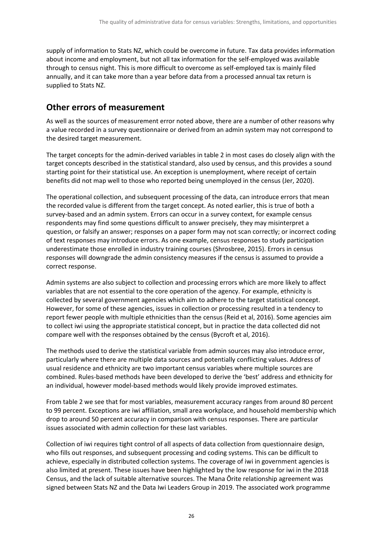supply of information to Stats NZ, which could be overcome in future. Tax data provides information about income and employment, but not all tax information for the self-employed was available through to census night. This is more difficult to overcome as self-employed tax is mainly filed annually, and it can take more than a year before data from a processed annual tax return is supplied to Stats NZ.

#### **Other errors of measurement**

As well as the sources of measurement error noted above, there are a number of other reasons why a value recorded in a survey questionnaire or derived from an admin system may not correspond to the desired target measurement.

The target concepts for the admin-derived variables in table 2 in most cases do closely align with the target concepts described in the statistical standard, also used by census, and this provides a sound starting point for their statistical use. An exception is unemployment, where receipt of certain benefits did not map well to those who reported being unemployed in the census (Jer, 2020).

The operational collection, and subsequent processing of the data, can introduce errors that mean the recorded value is different from the target concept. As noted earlier, this is true of both a survey-based and an admin system. Errors can occur in a survey context, for example census respondents may find some questions difficult to answer precisely, they may misinterpret a question, or falsify an answer; responses on a paper form may not scan correctly; or incorrect coding of text responses may introduce errors. As one example, census responses to study participation underestimate those enrolled in industry training courses (Shrosbree, 2015). Errors in census responses will downgrade the admin consistency measures if the census is assumed to provide a correct response.

Admin systems are also subject to collection and processing errors which are more likely to affect variables that are not essential to the core operation of the agency. For example, ethnicity is collected by several government agencies which aim to adhere to the target statistical concept. However, for some of these agencies, issues in collection or processing resulted in a tendency to report fewer people with multiple ethnicities than the census (Reid et al, 2016). Some agencies aim to collect iwi using the appropriate statistical concept, but in practice the data collected did not compare well with the responses obtained by the census (Bycroft et al, 2016).

The methods used to derive the statistical variable from admin sources may also introduce error, particularly where there are multiple data sources and potentially conflicting values. Address of usual residence and ethnicity are two important census variables where multiple sources are combined. Rules-based methods have been developed to derive the 'best' address and ethnicity for an individual, however model-based methods would likely provide improved estimates.

From table 2 we see that for most variables, measurement accuracy ranges from around 80 percent to 99 percent. Exceptions are iwi affiliation, small area workplace, and household membership which drop to around 50 percent accuracy in comparison with census responses. There are particular issues associated with admin collection for these last variables.

Collection of iwi requires tight control of all aspects of data collection from questionnaire design, who fills out responses, and subsequent processing and coding systems. This can be difficult to achieve, especially in distributed collection systems. The coverage of iwi in government agencies is also limited at present. These issues have been highlighted by the low response for iwi in the 2018 Census, and the lack of suitable alternative sources. The Mana Ōrite relationship agreement was signed between Stats NZ and the Data Iwi Leaders Group in 2019. The associated work programme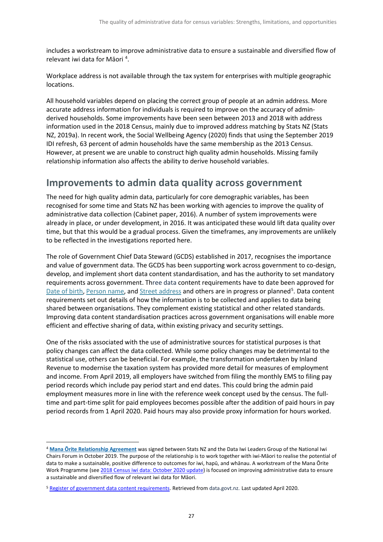includes a workstream to improve administrative data to ensure a sustainable and diversified flow of relevant iwi data for Māori<sup>[4](#page-26-1)</sup>.

Workplace address is not available through the tax system for enterprises with multiple geographic locations.

All household variables depend on placing the correct group of people at an admin address. More accurate address information for individuals is required to improve on the accuracy of adminderived households. Some improvements have been seen between 2013 and 2018 with address information used in the 2018 Census, mainly due to improved address matching by Stats NZ (Stats NZ, 2019a). In recent work, the Social Wellbeing Agency (2020) finds that using the September 2019 IDI refresh, 63 percent of admin households have the same membership as the 2013 Census. However, at present we are unable to construct high quality admin households. Missing family relationship information also affects the ability to derive household variables.

### <span id="page-26-0"></span>**Improvements to admin data quality across government**

The need for high quality admin data, particularly for core demographic variables, has been recognised for some time and Stats NZ has been working with agencies to improve the quality of administrative data collection (Cabinet paper, 2016). A number of system improvements were already in place, or under development, in 2016. It was anticipated these would lift data quality over time, but that this would be a gradual process. Given the timeframes, any improvements are unlikely to be reflected in the investigations reported here.

The role of Government Chief Data Steward (GCDS) established in 2017, recognises the importance and value of government data. The GCDS has been supporting work across government to co-design, develop, and implement short data content standardisation, and has the authority to set mandatory requirements across government. Three data content requirements have to date been approved for [Date of birth,](https://www.data.govt.nz/manage-data/data-content-standardisation/register-of-government-data-content-requirements/#Date-of-birth) [Person name,](https://www.data.govt.nz/manage-data/data-content-standardisation/register-of-government-data-content-requirements/#Name-of-person) and [Street address](https://www.data.govt.nz/manage-data/data-content-standardisation/register-of-government-data-content-requirements/#Street-address) and others are in progress or planned<sup>[5](#page-26-2)</sup>. Data content requirements set out details of how the information is to be collected and applies to data being shared between organisations. They complement existing statistical and other related standards. Improving data content standardisation practices across government organisations will enable more efficient and effective sharing of data, within existing privacy and security settings.

One of the risks associated with the use of administrative sources for statistical purposes is that policy changes can affect the data collected. While some policy changes may be detrimental to the statistical use, others can be beneficial. For example, the transformation undertaken by Inland Revenue to modernise the taxation system has provided more detail for measures of employment and income. From April 2019, all employers have switched from filing the monthly EMS to filing pay period records which include pay period start and end dates. This could bring the admin paid employment measures more in line with the reference week concept used by the census. The fulltime and part-time split for paid employees becomes possible after the addition of paid hours in pay period records from 1 April 2020. Paid hours may also provide proxy information for hours worked.

<span id="page-26-1"></span><sup>4</sup> **[Mana Ōrite Relationship Agreement](https://www.stats.govt.nz/about-us/what-we-do/mana-orite-relationship-agreement/)** was signed between Stats NZ and the Data Iwi Leaders Group of the National Iwi Chairs Forum in October 2019. The purpose of the relationship is to work together with iwi-Māori to realise the potential of data to make a sustainable, positive difference to outcomes for iwi, hapū, and whānau. A workstream of the Mana Ōrite Work Programme (se[e 2018 Census iwi data: October 2020 update\)](https://www.stats.govt.nz/reports/2018-census-iwi-data-october-2020-update) is focused on improving administrative data to ensure a sustainable and diversified flow of relevant iwi data for Māori.

<span id="page-26-2"></span><sup>&</sup>lt;sup>5</sup> [Register of government data content requirements.](https://www.data.govt.nz/manage-data/data-content-standardisation/register-of-government-data-content-requirements/) Retrieved from data.govt.nz. Last updated April 2020.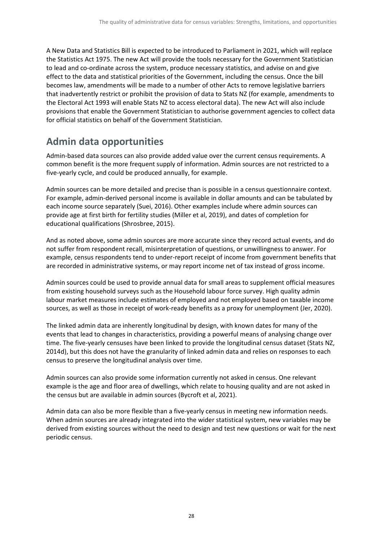A New Data and Statistics Bill is expected to be introduced to Parliament in 2021, which will replace the Statistics Act 1975. The new Act will provide the tools necessary for the Government Statistician to lead and co-ordinate across the system, produce necessary statistics, and advise on and give effect to the data and statistical priorities of the Government, including the census. Once the bill becomes law, amendments will be made to a number of other Acts to remove legislative barriers that inadvertently restrict or prohibit the provision of data to Stats NZ (for example, amendments to the Electoral Act 1993 will enable Stats NZ to access electoral data). The new Act will also include provisions that enable the Government Statistician to authorise government agencies to collect data for official statistics on behalf of the Government Statistician.

## <span id="page-27-0"></span>**Admin data opportunities**

Admin-based data sources can also provide added value over the current census requirements. A common benefit is the more frequent supply of information. Admin sources are not restricted to a five-yearly cycle, and could be produced annually, for example.

Admin sources can be more detailed and precise than is possible in a census questionnaire context. For example, admin-derived personal income is available in dollar amounts and can be tabulated by each income source separately (Suei, 2016). Other examples include where admin sources can provide age at first birth for fertility studies (Miller et al, 2019), and dates of completion for educational qualifications (Shrosbree, 2015).

And as noted above, some admin sources are more accurate since they record actual events, and do not suffer from respondent recall, misinterpretation of questions, or unwillingness to answer. For example, census respondents tend to under-report receipt of income from government benefits that are recorded in administrative systems, or may report income net of tax instead of gross income.

Admin sources could be used to provide annual data for small areas to supplement official measures from existing household surveys such as the Household labour force survey. High quality admin labour market measures include estimates of employed and not employed based on taxable income sources, as well as those in receipt of work-ready benefits as a proxy for unemployment (Jer, 2020).

The linked admin data are inherently longitudinal by design, with known dates for many of the events that lead to changes in characteristics, providing a powerful means of analysing change over time. The five-yearly censuses have been linked to provide the longitudinal census dataset (Stats NZ, 2014d), but this does not have the granularity of linked admin data and relies on responses to each census to preserve the longitudinal analysis over time.

Admin sources can also provide some information currently not asked in census. One relevant example is the age and floor area of dwellings, which relate to housing quality and are not asked in the census but are available in admin sources (Bycroft et al, 2021).

Admin data can also be more flexible than a five-yearly census in meeting new information needs. When admin sources are already integrated into the wider statistical system, new variables may be derived from existing sources without the need to design and test new questions or wait for the next periodic census.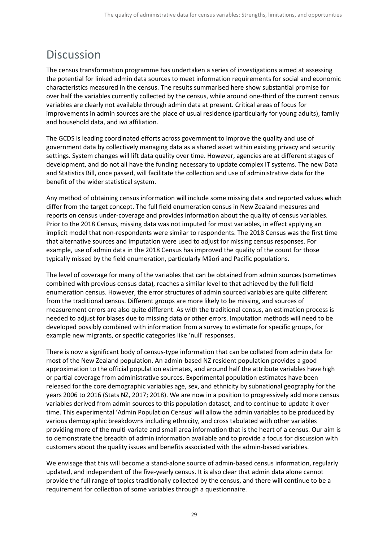## <span id="page-28-0"></span>Discussion

The census transformation programme has undertaken a series of investigations aimed at assessing the potential for linked admin data sources to meet information requirements for social and economic characteristics measured in the census. The results summarised here show substantial promise for over half the variables currently collected by the census, while around one-third of the current census variables are clearly not available through admin data at present. Critical areas of focus for improvements in admin sources are the place of usual residence (particularly for young adults), family and household data, and iwi affiliation.

The GCDS is leading coordinated efforts across government to improve the quality and use of government data by collectively managing data as a shared asset within existing privacy and security settings. System changes will lift data quality over time. However, agencies are at different stages of development, and do not all have the funding necessary to update complex IT systems. The new Data and Statistics Bill, once passed, will facilitate the collection and use of administrative data for the benefit of the wider statistical system.

Any method of obtaining census information will include some missing data and reported values which differ from the target concept. The full field enumeration census in New Zealand measures and reports on census under-coverage and provides information about the quality of census variables. Prior to the 2018 Census, missing data was not imputed for most variables, in effect applying an implicit model that non-respondents were similar to respondents. The 2018 Census was the first time that alternative sources and imputation were used to adjust for missing census responses. For example, use of admin data in the 2018 Census has improved the quality of the count for those typically missed by the field enumeration, particularly Māori and Pacific populations.

The level of coverage for many of the variables that can be obtained from admin sources (sometimes combined with previous census data), reaches a similar level to that achieved by the full field enumeration census. However, the error structures of admin sourced variables are quite different from the traditional census. Different groups are more likely to be missing, and sources of measurement errors are also quite different. As with the traditional census, an estimation process is needed to adjust for biases due to missing data or other errors. Imputation methods will need to be developed possibly combined with information from a survey to estimate for specific groups, for example new migrants, or specific categories like 'null' responses.

There is now a significant body of census-type information that can be collated from admin data for most of the New Zealand population. An admin-based NZ resident population provides a good approximation to the official population estimates, and around half the attribute variables have high or partial coverage from administrative sources. Experimental population estimates have been released for the core demographic variables age, sex, and ethnicity by subnational geography for the years 2006 to 2016 (Stats NZ, 2017; 2018). We are now in a position to progressively add more census variables derived from admin sources to this population dataset, and to continue to update it over time. This experimental 'Admin Population Census' will allow the admin variables to be produced by various demographic breakdowns including ethnicity, and cross tabulated with other variables providing more of the multi-variate and small area information that is the heart of a census. Our aim is to demonstrate the breadth of admin information available and to provide a focus for discussion with customers about the quality issues and benefits associated with the admin-based variables.

We envisage that this will become a stand-alone source of admin-based census information, regularly updated, and independent of the five-yearly census. It is also clear that admin data alone cannot provide the full range of topics traditionally collected by the census, and there will continue to be a requirement for collection of some variables through a questionnaire.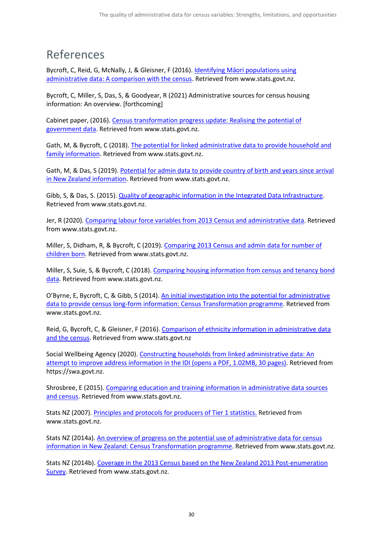## <span id="page-29-0"></span>References

Bycroft, C, Reid, G, McNally, J, & Gleisner, F (2016). [Identifying Māori populations using](https://www.stats.govt.nz/research/identifying-maori-populations-using-administrative-data-a-comparison-with-the-census-2)  [administrative data: A comparison with the census.](https://www.stats.govt.nz/research/identifying-maori-populations-using-administrative-data-a-comparison-with-the-census-2) Retrieved from www.stats.govt.nz.

Bycroft, C, Miller, S, Das, S, & Goodyear, R (2021) Administrative sources for census housing information: An overview. [forthcoming]

Cabinet paper, (2016)[. Census transformation progress update: Realising the potential of](https://www.stats.govt.nz/corporate/census-transformation-progress-update-releasing-the-potential-of-government-data)  [government data.](https://www.stats.govt.nz/corporate/census-transformation-progress-update-releasing-the-potential-of-government-data) Retrieved from www.stats.govt.nz.

Gath, M, & Bycroft, C (2018)[. The potential for linked administrative data to provide household and](https://www.stats.govt.nz/reports/the-potential-for-linked-administrative-data-to-provide-household-and-family-information)  [family information.](https://www.stats.govt.nz/reports/the-potential-for-linked-administrative-data-to-provide-household-and-family-information) Retrieved from www.stats.govt.nz.

Gath, M, & Das, S (2019). [Potential for admin data to provide country of birth and years since arrival](https://www.stats.govt.nz/research/potential-for-admin-data-to-provide-country-of-birth-and-years-since-arrival-in-new-zealand-information)  [in New Zealand information.](https://www.stats.govt.nz/research/potential-for-admin-data-to-provide-country-of-birth-and-years-since-arrival-in-new-zealand-information) Retrieved from www.stats.govt.nz.

Gibb, S, & Das, S. (2015)[. Quality of geographic information in the Integrated Data Infrastructure.](https://www.stats.govt.nz/research/quality-of-geographic-information-in-the-integrated-data-infrastructure) Retrieved from www.stats.govt.nz.

Jer, R (2020)[. Comparing labour force variables from 2013 Census and administrative data.](https://www.stats.govt.nz/research/comparing-labour-force-variables-from-2013-census-and-administrative-data) Retrieved from www.stats.govt.nz.

Miller, S, Didham, R, & Bycroft, C (2019). [Comparing 2013 Census and admin data for number of](https://www.stats.govt.nz/research/comparing-2013-census-and-admin-data-for-number-of-children-born)  [children born.](https://www.stats.govt.nz/research/comparing-2013-census-and-admin-data-for-number-of-children-born) Retrieved from www.stats.govt.nz.

Miller, S, Suie, S, & Bycroft, C (2018). [Comparing housing information from census and tenancy bond](https://www.stats.govt.nz/research/comparing-housing-information-from-census-and-tenancy-bond-data)  [data.](https://www.stats.govt.nz/research/comparing-housing-information-from-census-and-tenancy-bond-data) Retrieved from www.stats.govt.nz.

O'Byrne, E, Bycroft, C, & Gibb, S (2014)[. An initial investigation into the potential for administrative](https://www.stats.govt.nz/research/an-initial-investigation-into-the-potential-for-administrative-data-to-provide-census-long-form-information)  [data to provide census long-form information: Census Transformation programme.](https://www.stats.govt.nz/research/an-initial-investigation-into-the-potential-for-administrative-data-to-provide-census-long-form-information) Retrieved from www.stats.govt.nz.

Reid, G, Bycroft, C, & Gleisner, F (2016)[. Comparison of ethnicity information in administrative data](https://www.stats.govt.nz/research/comparison-of-ethnicity-information-in-administrative-data-and-the-census)  [and the census.](https://www.stats.govt.nz/research/comparison-of-ethnicity-information-in-administrative-data-and-the-census) Retrieved from www.stats.govt.nz

Social Wellbeing Agency (2020). [Constructing households from linked administrative data: An](https://swa.govt.nz/assets/Publications/reports/Constructing-households-from-linked-admin-data.pdf)  [attempt to improve address information in the IDI](https://swa.govt.nz/assets/Publications/reports/Constructing-households-from-linked-admin-data.pdf) (opens a PDF, 1.02MB, 30 pages). Retrieved from https://swa.govt.nz.

Shrosbree, E (2015)[. Comparing education and training information in administrative data sources](https://www.stats.govt.nz/research/comparing-education-and-training-information-in-administrative-data-sources-and-census)  [and census.](https://www.stats.govt.nz/research/comparing-education-and-training-information-in-administrative-data-sources-and-census) Retrieved from www.stats.govt.nz.

Stats NZ (2007). [Principles and protocols for producers of Tier 1 statistics.](https://www.stats.govt.nz/about-us/legislation-policies-and-guidelines#tier-1-stats) Retrieved from www.stats.govt.nz.

Stats NZ (2014a)[. An overview of progress on the potential use of administrative data for census](https://www.stats.govt.nz/research/an-overview-of-progress-on-the-potential-use-of-administrative-data-for-census-information-in-new-zealand-census-transformation-programme)  [information in New Zealand: Census Transformation programme.](https://www.stats.govt.nz/research/an-overview-of-progress-on-the-potential-use-of-administrative-data-for-census-information-in-new-zealand-census-transformation-programme) Retrieved from www.stats.govt.nz.

Stats NZ (2014b). [Coverage in the 2013 Census based on the New Zealand 2013 Post-enumeration](https://www.stats.govt.nz/reports/coverage-in-the-2013-census-based-on-the-new-zealand-2013-post-enumeration-survey)  [Survey.](https://www.stats.govt.nz/reports/coverage-in-the-2013-census-based-on-the-new-zealand-2013-post-enumeration-survey) Retrieved from www.stats.govt.nz.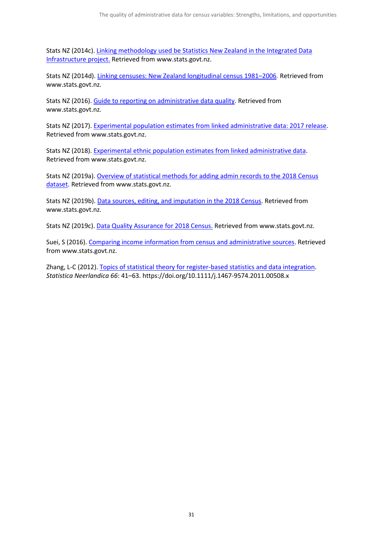Stats NZ (2014c). [Linking methodology used be Statistics New Zealand in the Integrated Data](https://www.stats.govt.nz/methods/linking-methodology-used-by-statistics-new-zealand-in-the-integrated-data-infrastructure-project)  [Infrastructure project.](https://www.stats.govt.nz/methods/linking-methodology-used-by-statistics-new-zealand-in-the-integrated-data-infrastructure-project) Retrieved from www.stats.govt.nz.

Stats NZ (2014d). [Linking censuses: New Zealand longitudinal census 1981–2006](https://www.stats.govt.nz/methods/linking-censuses-new-zealand-longitudinal-census-19812006)*.* Retrieved from www.stats.govt.nz.

Stats NZ (2016)[. Guide to reporting on administrative data quality.](https://www.stats.govt.nz/methods/guide-to-reporting-on-administrative-data-quality-2) Retrieved from www.stats.govt.nz.

Stats NZ (2017)[. Experimental population estimates from linked administrative data: 2017 release.](https://www.stats.govt.nz/experimental/experimental-population-estimates-from-linked-administrative-data) Retrieved from www.stats.govt.nz.

Stats NZ (2018)[. Experimental ethnic population estimates from linked administrative data.](https://www.stats.govt.nz/experimental/experimental-population-estimates-from-linked-administrative-data) Retrieved from www.stats.govt.nz.

Stats NZ (2019a)[. Overview of statistical methods for adding admin records to the 2018 Census](https://www.stats.govt.nz/methods/overview-of-statistical-methods-for-adding-admin-records-to-the-2018-census-dataset)  [dataset.](https://www.stats.govt.nz/methods/overview-of-statistical-methods-for-adding-admin-records-to-the-2018-census-dataset) Retrieved from www.stats.govt.nz.

Stats NZ (2019b). [Data sources, editing, and imputation in the 2018 Census.](https://www.stats.govt.nz/methods/data-sources-editing-and-imputation-in-the-2018-census) Retrieved from www.stats.govt.nz.

Stats NZ (2019c). [Data Quality Assurance for 2018 Census.](https://www.stats.govt.nz/methods/data-quality-assurance-for-2018-census) Retrieved from www.stats.govt.nz.

Suei, S (2016). [Comparing income information from census and administrative sources.](https://www.stats.govt.nz/research/comparing-income-information-from-census-and-administrative-sources) Retrieved from www.stats.govt.nz.

Zhang, L-C (2012). [Topics of statistical theory for register-based statistics and data integration.](https://onlinelibrary.wiley.com/doi/abs/10.1111/j.1467-9574.2011.00508.x) *Statistica Neerlandica 66*: 41–63. https://doi.org/10.1111/j.1467-9574.2011.00508.x